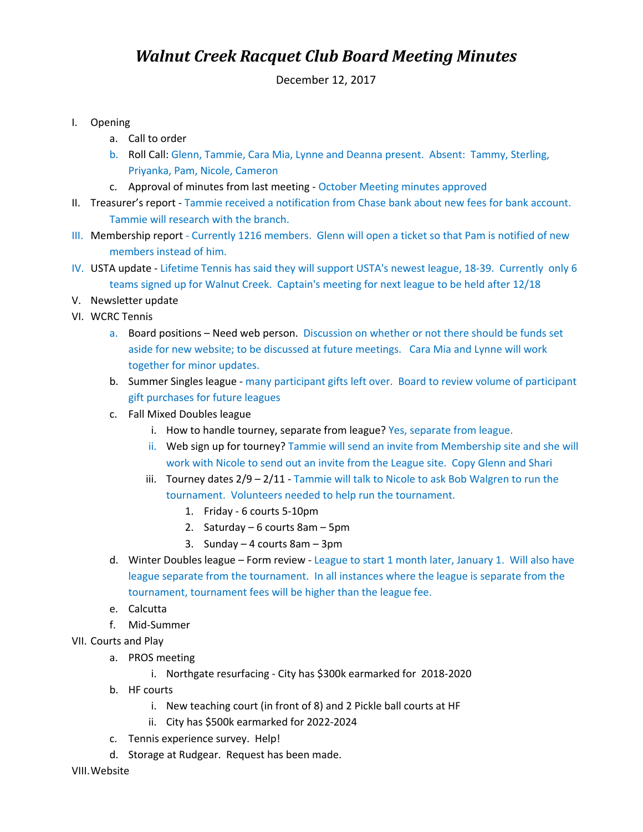## **Walnut Creek Racquet Club Board Meeting Minutes**

December 12, 2017

- I. Opening
	- a. Call to order
	- b. Roll Call: Glenn, Tammie, Cara Mia, Lynne and Deanna present. Absent: Tammy, Sterling, Priyanka, Pam, Nicole, Cameron
	- c. Approval of minutes from last meeting October Meeting minutes approved
- II. Treasurer's report Tammie received a notification from Chase bank about new fees for bank account. Tammie will research with the branch.
- III. Membership report Currently 1216 members. Glenn will open a ticket so that Pam is notified of new members instead of him.
- IV. USTA update Lifetime Tennis has said they will support USTA's newest league, 18-39. Currently only 6 teams signed up for Walnut Creek. Captain's meeting for next league to be held after 12/18
- V. Newsletter update
- VI. WCRC Tennis
	- a. Board positions Need web person. Discussion on whether or not there should be funds set aside for new website; to be discussed at future meetings. Cara Mia and Lynne will work together for minor updates.
	- b. Summer Singles league many participant gifts left over. Board to review volume of participant gift purchases for future leagues
	- c. Fall Mixed Doubles league
		- i. How to handle tourney, separate from league? Yes, separate from league.
		- ii. Web sign up for tourney? Tammie will send an invite from Membership site and she will work with Nicole to send out an invite from the League site. Copy Glenn and Shari
		- iii. Tourney dates  $2/9 2/11$  Tammie will talk to Nicole to ask Bob Walgren to run the tournament. Volunteers needed to help run the tournament.
			- 1. Friday 6 courts 5-10pm
			- 2. Saturday 6 courts 8am 5pm
			- 3. Sunday 4 courts 8am 3pm
	- d. Winter Doubles league Form review League to start 1 month later, January 1. Will also have league separate from the tournament. In all instances where the league is separate from the tournament, tournament fees will be higher than the league fee.
	- e. Calcutta
	- f. Mid-Summer
- VII. Courts and Play
	- a. PROS meeting
		- i. Northgate resurfacing City has \$300k earmarked for 2018-2020
	- b. HF courts
		- i. New teaching court (in front of 8) and 2 Pickle ball courts at HF
		- ii. City has \$500k earmarked for 2022-2024
	- c. Tennis experience survey. Help!
	- d. Storage at Rudgear. Request has been made.

VIII.Website